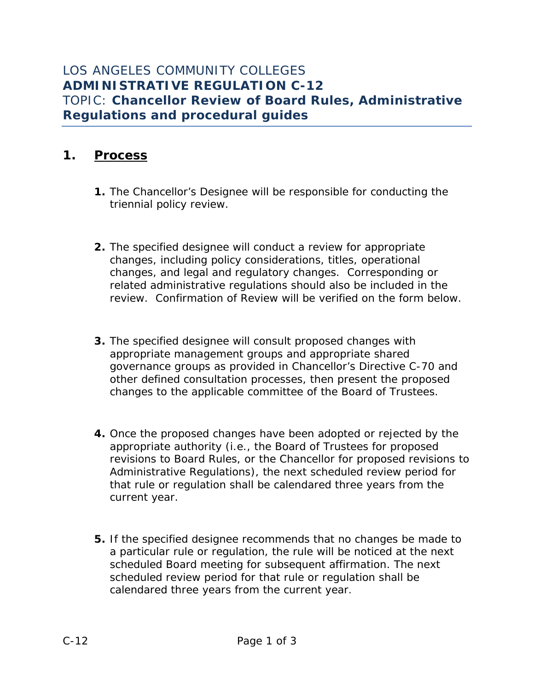# **1. Process**

- **1.** The Chancellor's Designee will be responsible for conducting the triennial policy review.
- **2.** The specified designee will conduct a review for appropriate changes, including policy considerations, titles, operational changes, and legal and regulatory changes. Corresponding or related administrative regulations should also be included in the review. Confirmation of Review will be verified on the form below.
- **3.** The specified designee will consult proposed changes with appropriate management groups and appropriate shared governance groups as provided in Chancellor's Directive C-70 and other defined consultation processes, then present the proposed changes to the applicable committee of the Board of Trustees.
- **4.** Once the proposed changes have been adopted or rejected by the appropriate authority (i.e., the Board of Trustees for proposed revisions to Board Rules, or the Chancellor for proposed revisions to Administrative Regulations), the next scheduled review period for that rule or regulation shall be calendared three years from the current year.
- **5.** If the specified designee recommends that no changes be made to a particular rule or regulation, the rule will be noticed at the next scheduled Board meeting for subsequent affirmation. The next scheduled review period for that rule or regulation shall be calendared three years from the current year.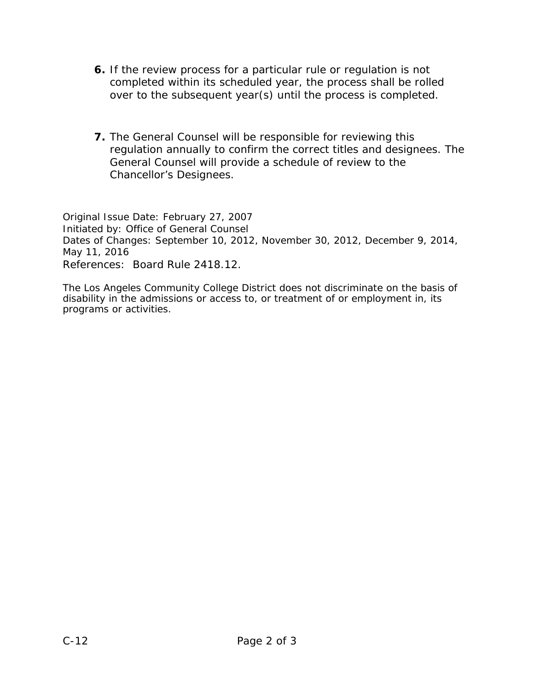- **6.** If the review process for a particular rule or regulation is not completed within its scheduled year, the process shall be rolled over to the subsequent year(s) until the process is completed.
- **7.** The General Counsel will be responsible for reviewing this regulation annually to confirm the correct titles and designees. The General Counsel will provide a schedule of review to the Chancellor's Designees.

*Original Issue Date: February 27, 2007 Initiated by: Office of General Counsel Dates of Changes: September 10, 2012, November 30, 2012, December 9, 2014, May 11, 2016 References: Board Rule 2418.12.*

The Los Angeles Community College District does not discriminate on the basis of disability in the admissions or access to, or treatment of or employment in, its programs or activities.